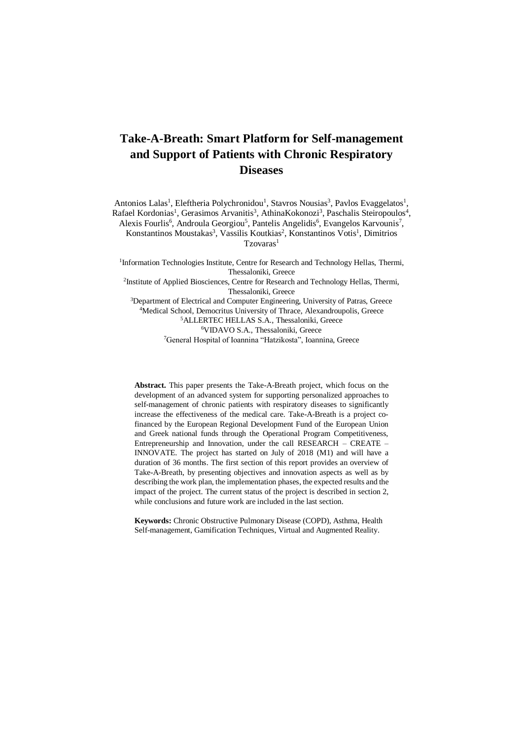# **Take-A-Breath: Smart Platform for Self-management and Support of Patients with Chronic Respiratory Diseases**

Antonios Lalas<sup>1</sup>, Eleftheria Polychronidou<sup>1</sup>, Stavros Nousias<sup>3</sup>, Pavlos Evaggelatos<sup>1</sup>, Rafael Kordonias<sup>1</sup>, Gerasimos Arvanitis<sup>3</sup>, AthinaKokonozi<sup>3</sup>, Paschalis Steiropoulos<sup>4</sup>, Alexis Fourlis<sup>6</sup>, Androula Georgiou<sup>5</sup>, Pantelis Angelidis<sup>6</sup>, Evangelos Karvounis<sup>7</sup>, Konstantinos Moustakas<sup>3</sup>, Vassilis Koutkias<sup>2</sup>, Konstantinos Votis<sup>1</sup>, Dimitrios Tzovaras<sup>1</sup> <sup>1</sup>Information Technologies Institute, Centre for Research and Technology Hellas, Thermi,

Thessaloniki, Greece <sup>2</sup>Institute of Applied Biosciences, Centre for Research and Technology Hellas, Thermi, Thessaloniki, Greece <sup>3</sup>Department of Electrical and Computer Engineering, University of Patras, Greece <sup>4</sup>Medical School, Democritus University of Thrace, Alexandroupolis, Greece

<sup>5</sup>ALLERTEC HELLAS S.A., Thessaloniki, Greece <sup>6</sup>VIDAVO S.A., Thessaloniki, Greece <sup>7</sup>General Hospital of Ioannina "Hatzikosta", Ioannina, Greece

**Abstract.** This paper presents the Take-A-Breath project, which focus on the development of an advanced system for supporting personalized approaches to self-management of chronic patients with respiratory diseases to significantly increase the effectiveness of the medical care. Take-A-Breath is a project cofinanced by the European Regional Development Fund of the European Union and Greek national funds through the Operational Program Competitiveness, Entrepreneurship and Innovation, under the call RESEARCH – CREATE – INNOVATE. The project has started on July of 2018 (M1) and will have a duration of 36 months. The first section of this report provides an overview of Take-A-Breath, by presenting objectives and innovation aspects as well as by describing the work plan, the implementation phases, the expected results and the impact of the project. The current status of the project is described in section 2, while conclusions and future work are included in the last section.

**Keywords:** Chronic Obstructive Pulmonary Disease (COPD), Asthma, Health Self-management, Gamification Techniques, Virtual and Augmented Reality.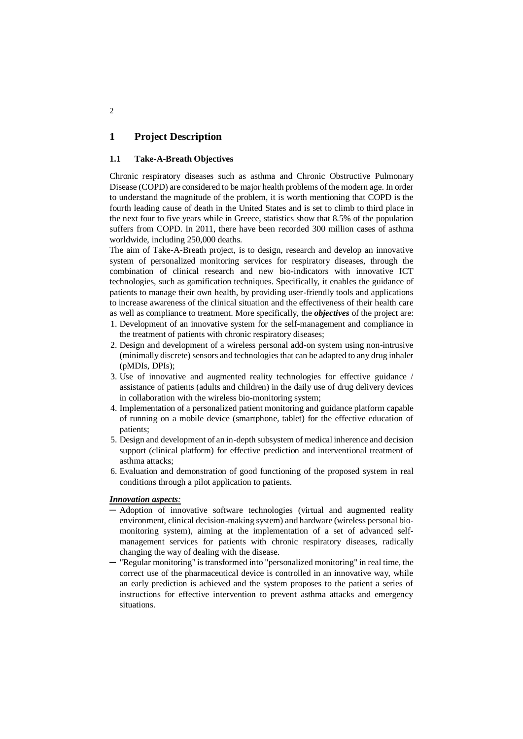# **1 Project Description**

## **1.1 Take-A-Breath Objectives**

Chronic respiratory diseases such as asthma and Chronic Obstructive Pulmonary Disease (COPD) are considered to be major health problems of the modern age. In order to understand the magnitude of the problem, it is worth mentioning that COPD is the fourth leading cause of death in the United States and is set to climb to third place in the next four to five years while in Greece, statistics show that 8.5% of the population suffers from COPD. In 2011, there have been recorded 300 million cases of asthma worldwide, including 250,000 deaths.

The aim of Take-A-Breath project, is to design, research and develop an innovative system of personalized monitoring services for respiratory diseases, through the combination of clinical research and new bio-indicators with innovative ICT technologies, such as gamification techniques. Specifically, it enables the guidance of patients to manage their own health, by providing user-friendly tools and applications to increase awareness of the clinical situation and the effectiveness of their health care as well as compliance to treatment. More specifically, the *objectives* of the project are:

- 1. Development of an innovative system for the self-management and compliance in the treatment of patients with chronic respiratory diseases;
- 2. Design and development of a wireless personal add-on system using non-intrusive (minimally discrete) sensors and technologies that can be adapted to any drug inhaler (pMDIs, DPIs);
- 3. Use of innovative and augmented reality technologies for effective guidance / assistance of patients (adults and children) in the daily use of drug delivery devices in collaboration with the wireless bio-monitoring system;
- 4. Implementation of a personalized patient monitoring and guidance platform capable of running on a mobile device (smartphone, tablet) for the effective education of patients;
- 5. Design and development of an in-depth subsystem of medical inherence and decision support (clinical platform) for effective prediction and interventional treatment of asthma attacks;
- 6. Evaluation and demonstration of good functioning of the proposed system in real conditions through a pilot application to patients.

## *Innovation aspects:*

- ─ Adoption of innovative software technologies (virtual and augmented reality environment, clinical decision-making system) and hardware (wireless personal biomonitoring system), aiming at the implementation of a set of advanced selfmanagement services for patients with chronic respiratory diseases, radically changing the way of dealing with the disease.
- ─ "Regular monitoring" is transformed into "personalized monitoring" in real time, the correct use of the pharmaceutical device is controlled in an innovative way, while an early prediction is achieved and the system proposes to the patient a series of instructions for effective intervention to prevent asthma attacks and emergency situations.

2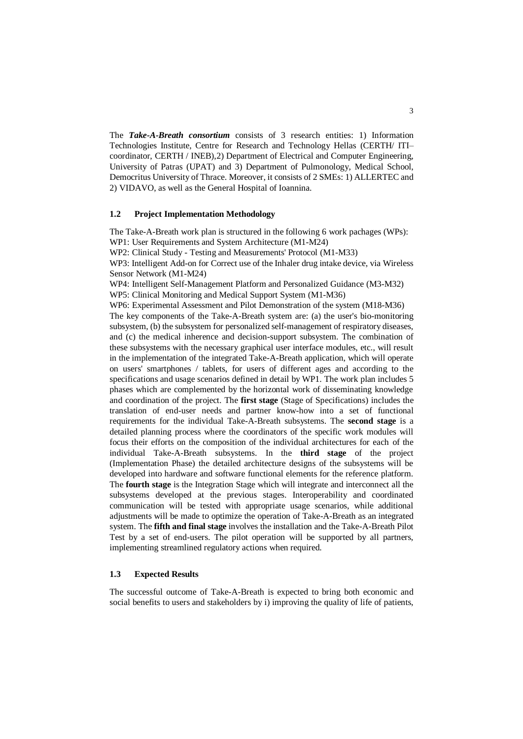The *Take-A-Breath consortium* consists of 3 research entities: 1) Information Technologies Institute, Centre for Research and Technology Hellas (CERTH/ ITI– coordinator, CERTH / INEB),2) Department of Electrical and Computer Engineering, University of Patras (UPAT) and 3) Department of Pulmonology, Medical School, Democritus University of Thrace. Moreover, it consists of 2 SMEs: 1) ALLERTEC and 2) VIDAVO, as well as the General Hospital of Ioannina.

#### **1.2 Project Implementation Methodology**

The Take-A-Breath work plan is structured in the following 6 work pachages (WPs): WP1: User Requirements and System Architecture (M1-M24)

WP2: Clinical Study - Testing and Measurements' Protocol (M1-M33)

WP3: Intelligent Add-on for Correct use of the Inhaler drug intake device, via Wireless Sensor Network (M1-M24)

WP4: Intelligent Self-Management Platform and Personalized Guidance (M3-M32) WP5: Clinical Monitoring and Medical Support System (M1-M36)

WP6: Experimental Assessment and Pilot Demonstration of the system (M18-M36)

The key components of the Take-A-Breath system are: (a) the user's bio-monitoring subsystem, (b) the subsystem for personalized self-management of respiratory diseases, and (c) the medical inherence and decision-support subsystem. The combination of these subsystems with the necessary graphical user interface modules, etc., will result in the implementation of the integrated Take-A-Breath application, which will operate on users' smartphones / tablets, for users of different ages and according to the specifications and usage scenarios defined in detail by WP1. The work plan includes 5 phases which are complemented by the horizontal work of disseminating knowledge and coordination of the project. The **first stage** (Stage of Specifications) includes the translation of end-user needs and partner know-how into a set of functional requirements for the individual Take-A-Breath subsystems. The **second stage** is a detailed planning process where the coordinators of the specific work modules will focus their efforts on the composition of the individual architectures for each of the individual Take-A-Breath subsystems. In the **third stage** of the project (Implementation Phase) the detailed architecture designs of the subsystems will be developed into hardware and software functional elements for the reference platform. The **fourth stage** is the Integration Stage which will integrate and interconnect all the subsystems developed at the previous stages. Interoperability and coordinated communication will be tested with appropriate usage scenarios, while additional adjustments will be made to optimize the operation of Take-A-Breath as an integrated system. The **fifth and final stage** involves the installation and the Take-A-Breath Pilot Test by a set of end-users. The pilot operation will be supported by all partners, implementing streamlined regulatory actions when required.

## **1.3 Expected Results**

The successful outcome of Take-A-Breath is expected to bring both economic and social benefits to users and stakeholders by i) improving the quality of life of patients,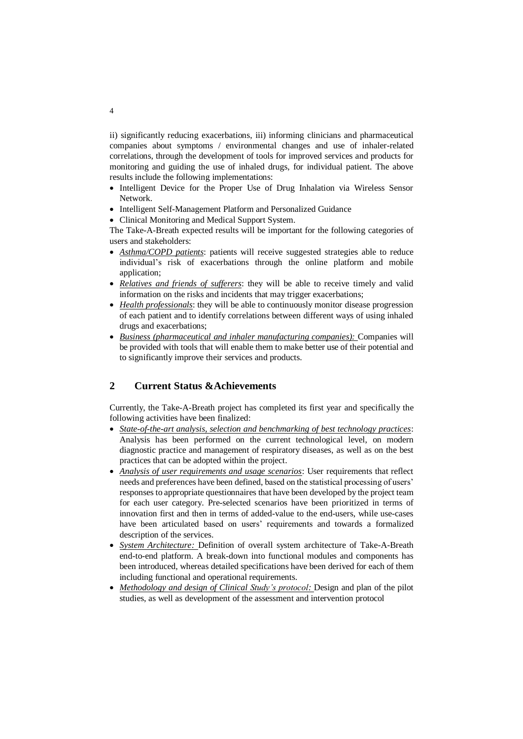ii) significantly reducing exacerbations, iii) informing clinicians and pharmaceutical companies about symptoms / environmental changes and use of inhaler-related correlations, through the development of tools for improved services and products for monitoring and guiding the use of inhaled drugs, for individual patient. The above results include the following implementations:

- Intelligent Device for the Proper Use of Drug Inhalation via Wireless Sensor Network.
- Intelligent Self-Management Platform and Personalized Guidance
- Clinical Monitoring and Medical Support System.

The Take-A-Breath expected results will be important for the following categories of users and stakeholders:

- *Asthma/COPD patients*: patients will receive suggested strategies able to reduce individual's risk of exacerbations through the online platform and mobile application;
- *Relatives and friends of sufferers*: they will be able to receive timely and valid information on the risks and incidents that may trigger exacerbations;
- *Health professionals*: they will be able to continuously monitor disease progression of each patient and to identify correlations between different ways of using inhaled drugs and exacerbations;
- *Business (pharmaceutical and inhaler manufacturing companies):* Companies will be provided with tools that will enable them to make better use of their potential and to significantly improve their services and products.

# **2 Current Status &Achievements**

Currently, the Take-A-Breath project has completed its first year and specifically the following activities have been finalized:

- *State-of-the-art analysis, selection and benchmarking of best technology practices*: Analysis has been performed on the current technological level, on modern diagnostic practice and management of respiratory diseases, as well as on the best practices that can be adopted within the project.
- *Analysis of user requirements and usage scenarios*: User requirements that reflect needs and preferences have been defined, based on the statistical processing of users' responses to appropriate questionnaires that have been developed by the project team for each user category. Pre-selected scenarios have been prioritized in terms of innovation first and then in terms of added-value to the end-users, while use-cases have been articulated based on users' requirements and towards a formalized description of the services.
- *System Architecture:* Definition of overall system architecture of Take-A-Breath end-to-end platform. A break-down into functional modules and components has been introduced, whereas detailed specifications have been derived for each of them including functional and operational requirements.
- *Methodology and design of Clinical Study's protocol:* Design and plan of the pilot studies, as well as development of the assessment and intervention protocol